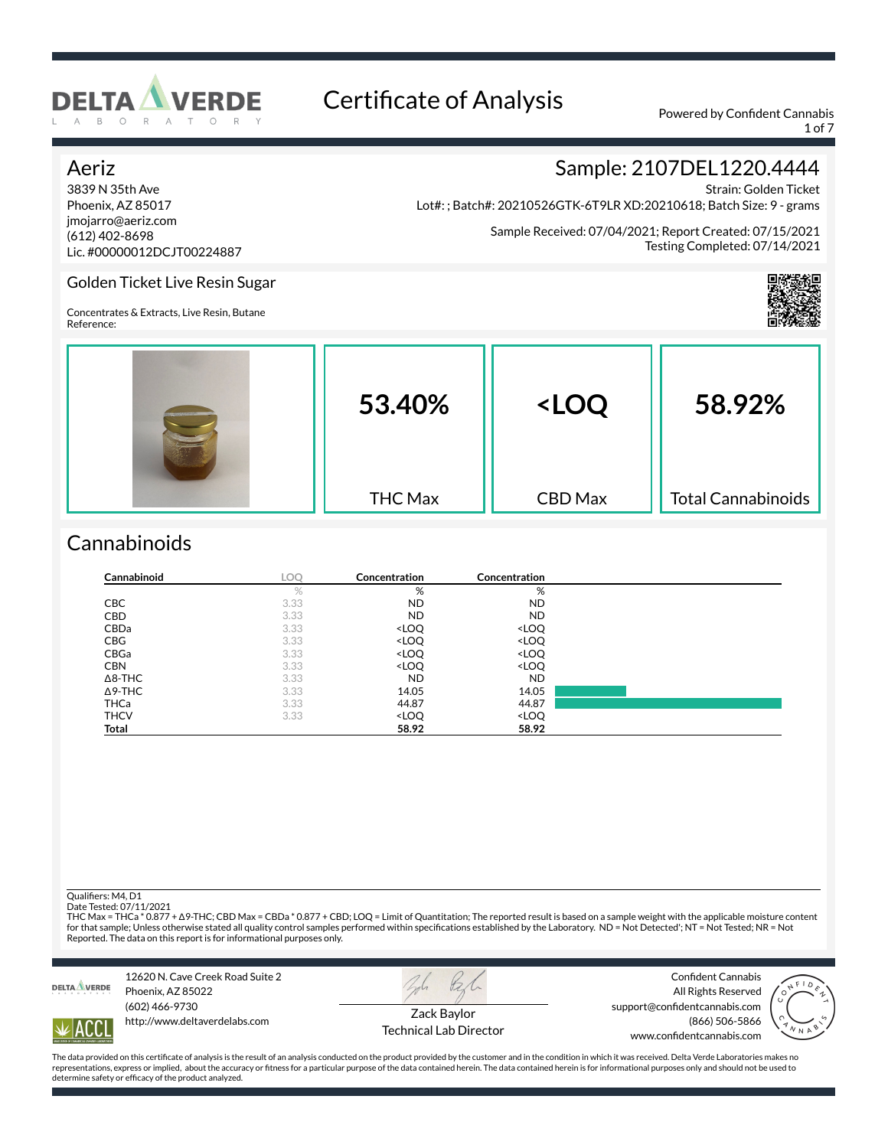

1 of 7

Strain: Golden Ticket

### Aeriz

3839 N 35th Ave Phoenix, AZ 85017 jmojarro@aeriz.com (612) 402-8698 Lic. #00000012DCJT00224887

Lot#: ; Batch#: 20210526GTK-6T9LR XD:20210618; Batch Size: 9 - grams

Sample Received: 07/04/2021; Report Created: 07/15/2021 Testing Completed: 07/14/2021

Sample: 2107DEL1220.4444



### Golden Ticket Live Resin Sugar

Concentrates & Extracts, Live Resin, Butane Reference:

| 53.40%         | <loq< th=""><th>58.92%</th></loq<> | 58.92%                    |
|----------------|------------------------------------|---------------------------|
| <b>THC Max</b> | <b>CBD</b> Max                     | <b>Total Cannabinoids</b> |

## **Cannabinoids**

| Cannabinoid    | LOQ. | Concentration                                            | Concentration                |  |
|----------------|------|----------------------------------------------------------|------------------------------|--|
|                | $\%$ | %                                                        | %                            |  |
| CBC            | 3.33 | ND.                                                      | <b>ND</b>                    |  |
| <b>CBD</b>     | 3.33 | <b>ND</b>                                                | <b>ND</b>                    |  |
| CBDa           | 3.33 | <loq< td=""><td><loq< td=""><td></td></loq<></td></loq<> | <loq< td=""><td></td></loq<> |  |
| <b>CBG</b>     | 3.33 | <loq< td=""><td><loq< td=""><td></td></loq<></td></loq<> | <loq< td=""><td></td></loq<> |  |
| CBGa           | 3.33 | <loq< td=""><td><loq< td=""><td></td></loq<></td></loq<> | <loq< td=""><td></td></loq<> |  |
| <b>CBN</b>     | 3.33 | <loq< td=""><td><loq< td=""><td></td></loq<></td></loq<> | <loq< td=""><td></td></loq<> |  |
| $\Delta$ 8-THC | 3.33 | <b>ND</b>                                                | <b>ND</b>                    |  |
| $\Delta$ 9-THC | 3.33 | 14.05                                                    | 14.05                        |  |
| <b>THCa</b>    | 3.33 | 44.87                                                    | 44.87                        |  |
| <b>THCV</b>    | 3.33 | <loq< td=""><td><loq< td=""><td></td></loq<></td></loq<> | <loq< td=""><td></td></loq<> |  |
| Total          |      | 58.92                                                    | 58.92                        |  |

Qualifiers: M4, D1 Date Tested: 07/11/2021

THC Max = THCa \* 0.877 + Δ9-THC; CBD Max = CBDa \* 0.877 + CBD; LOQ = Limit of Quantitation; The reported result is based on a sample weight with the applicable moisture content<br>for that sample; Unless otherwise stated all Reported. The data on this report is for informational purposes only.



12620 N. Cave Creek Road Suite 2 Phoenix, AZ 85022 (602) 466-9730 http://www.deltaverdelabs.com



Confident Cannabis All Rights Reserved support@confidentcannabis.com



ACC

Zack Baylor Technical Lab Director

(866) 506-5866 www.confidentcannabis.com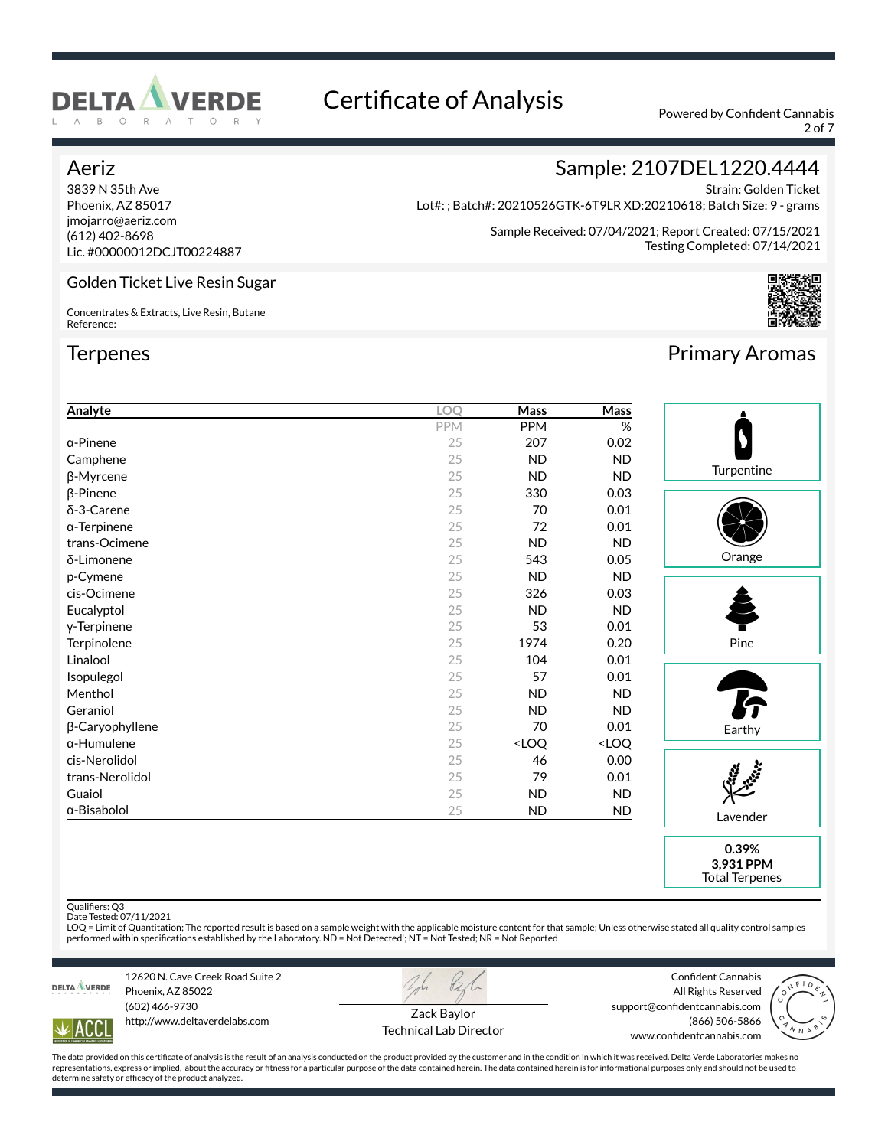

2 of 7

### Aeriz

3839 N 35th Ave Phoenix, AZ 85017 jmojarro@aeriz.com (612) 402-8698 Lic. #00000012DCJT00224887

Golden Ticket Live Resin Sugar

Concentrates & Extracts, Live Resin, Butane Reference:

### **Terpenes**

## Sample: 2107DEL1220.4444

Strain: Golden Ticket Lot#: ; Batch#: 20210526GTK-6T9LR XD:20210618; Batch Size: 9 - grams

> Sample Received: 07/04/2021; Report Created: 07/15/2021 Testing Completed: 07/14/2021



## Primary Aromas

| Analyte             | LOQ | Mass                                                     | $\overline{\mathsf{Mass}}$   |                              |
|---------------------|-----|----------------------------------------------------------|------------------------------|------------------------------|
|                     | PPM | PPM                                                      | $\%$                         |                              |
| $\alpha$ -Pinene    | 25  | 207                                                      | 0.02                         |                              |
| Camphene            | 25  | <b>ND</b>                                                | ND.                          |                              |
| β-Myrcene           | 25  | <b>ND</b>                                                | <b>ND</b>                    | Turpentine                   |
| $\beta$ -Pinene     | 25  | 330                                                      | 0.03                         |                              |
| δ-3-Carene          | 25  | 70                                                       | 0.01                         |                              |
| $\alpha$ -Terpinene | 25  | 72                                                       | 0.01                         |                              |
| trans-Ocimene       | 25  | <b>ND</b>                                                | <b>ND</b>                    |                              |
| δ-Limonene          | 25  | 543                                                      | 0.05                         | Orange                       |
| p-Cymene            | 25  | <b>ND</b>                                                | <b>ND</b>                    |                              |
| cis-Ocimene         | 25  | 326                                                      | 0.03                         |                              |
| Eucalyptol          | 25  | <b>ND</b>                                                | <b>ND</b>                    |                              |
| y-Terpinene         | 25  | 53                                                       | 0.01                         |                              |
| Terpinolene         | 25  | 1974                                                     | 0.20                         | Pine                         |
| Linalool            | 25  | 104                                                      | 0.01                         |                              |
| Isopulegol          | 25  | 57                                                       | 0.01                         |                              |
| Menthol             | 25  | <b>ND</b>                                                | ND.                          |                              |
| Geraniol            | 25  | <b>ND</b>                                                | <b>ND</b>                    | <b>F</b>                     |
| β-Caryophyllene     | 25  | 70                                                       | 0.01                         | Earthy                       |
| $\alpha$ -Humulene  | 25  | <loq< td=""><td><loq< td=""><td></td></loq<></td></loq<> | <loq< td=""><td></td></loq<> |                              |
| cis-Nerolidol       | 25  | 46                                                       | 0.00                         |                              |
| trans-Nerolidol     | 25  | 79                                                       | 0.01                         | <b>Basic</b><br>$\mathbf{r}$ |
| Guaiol              | 25  | <b>ND</b>                                                | ND.                          |                              |
| α-Bisabolol         | 25  | <b>ND</b>                                                | ND.                          | Lavender                     |
|                     |     |                                                          |                              |                              |

**0.39% 3,931 PPM** Total Terpenes

Qualifiers: Q3

Date Tested: 07/11/2021<br>LOQ = Limit of Quantitation; The reported result is based on a sample weight with the applicable moisture content for that sample; Unless otherwise stated all quality control samples<br>performed withi



12620 N. Cave Creek Road Suite 2 Phoenix, AZ 85022 (602) 466-9730 http://www.deltaverdelabs.com



Confident Cannabis All Rights Reserved (866) 506-5866



**ACC** 

Zack Baylor Technical Lab Director support@confidentcannabis.com

www.confidentcannabis.com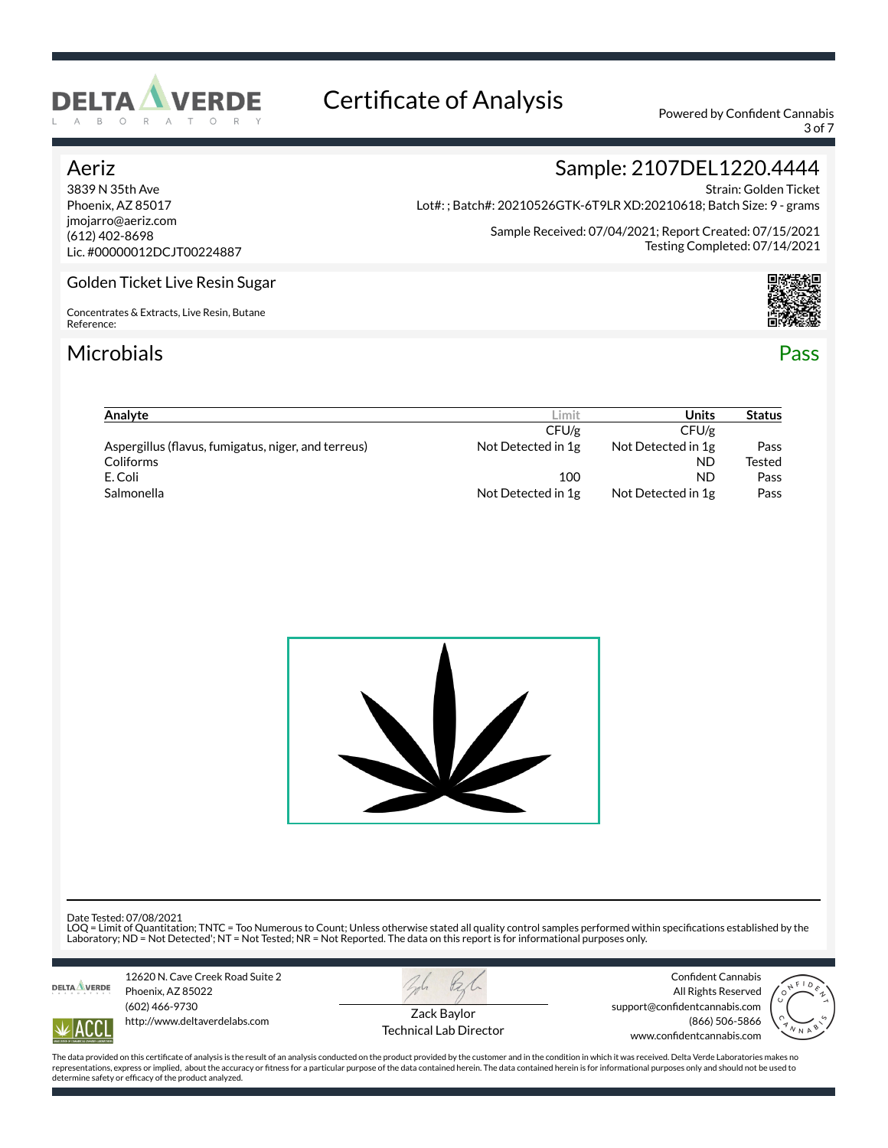

3 of 7

### Aeriz

3839 N 35th Ave Phoenix, AZ 85017 jmojarro@aeriz.com (612) 402-8698 Lic. #00000012DCJT00224887

Strain: Golden Ticket Lot#: ; Batch#: 20210526GTK-6T9LR XD:20210618; Batch Size: 9 - grams

> Sample Received: 07/04/2021; Report Created: 07/15/2021 Testing Completed: 07/14/2021

Sample: 2107DEL1220.4444

### Golden Ticket Live Resin Sugar

Concentrates & Extracts, Live Resin, Butane Reference:

### Microbials Pass



| Analyte                                             | ∟imit              | Units              | <b>Status</b> |
|-----------------------------------------------------|--------------------|--------------------|---------------|
|                                                     | CFU/g              | CFU/g              |               |
| Aspergillus (flavus, fumigatus, niger, and terreus) | Not Detected in 1g | Not Detected in 1g | Pass          |
| Coliforms                                           |                    | <b>ND</b>          | Tested        |
| E. Coli                                             | 100                | ND                 | Pass          |
| <b>Salmonella</b>                                   | Not Detected in 1g | Not Detected in 1g | Pass          |



Date Tested: 07/08/2021

LOQ = Limit of Quantitation; TNTC = Too Numerous to Count; Unless otherwise stated all quality control samples performed within specifications established by the<br>Laboratory; ND = Not Detected'; NT = Not Tested; NR = Not Re



ACC

12620 N. Cave Creek Road Suite 2 Phoenix, AZ 85022 (602) 466-9730 http://www.deltaverdelabs.com



Technical Lab Director

Confident Cannabis All Rights Reserved support@confidentcannabis.com (866) 506-5866 www.confidentcannabis.com

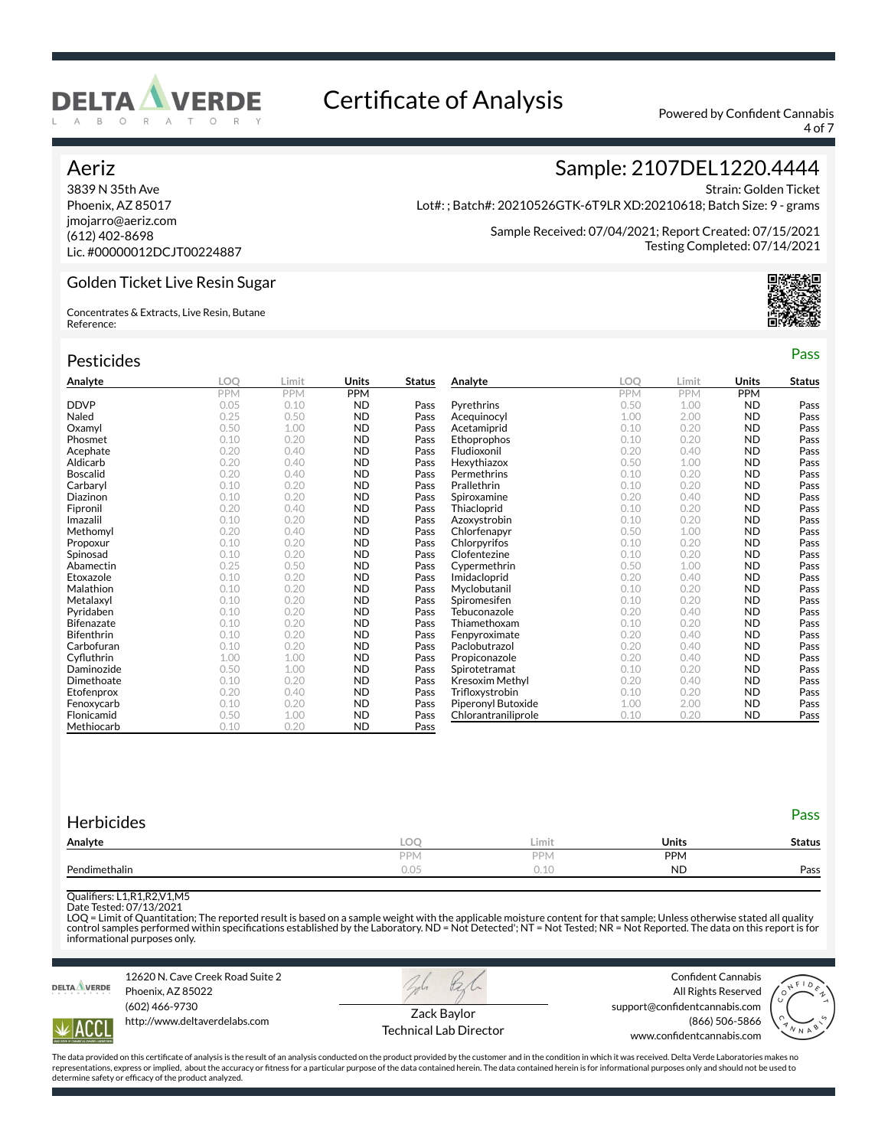

4 of 7

Testing Completed: 07/14/2021

Strain: Golden Ticket

Sample: 2107DEL1220.4444

Sample Received: 07/04/2021; Report Created: 07/15/2021

Lot#: ; Batch#: 20210526GTK-6T9LR XD:20210618; Batch Size: 9 - grams

### Aeriz

3839 N 35th Ave Phoenix, AZ 85017 jmojarro@aeriz.com (612) 402-8698 Lic. #00000012DCJT00224887

Golden Ticket Live Resin Sugar

Concentrates & Extracts, Live Resin, Butane Reference:

| Pesticides        |      |            |              |               |                     |            |            |            | Pass          |
|-------------------|------|------------|--------------|---------------|---------------------|------------|------------|------------|---------------|
| Analyte           | LOO  | Limit      | <b>Units</b> | <b>Status</b> | Analyte             | <b>LOO</b> | Limit      | Units      | <b>Status</b> |
|                   | PPM  | <b>PPM</b> | <b>PPM</b>   |               |                     | <b>PPM</b> | <b>PPM</b> | <b>PPM</b> |               |
| <b>DDVP</b>       | 0.05 | 0.10       | <b>ND</b>    | Pass          | Pyrethrins          | 0.50       | 1.00       | <b>ND</b>  | Pass          |
| Naled             | 0.25 | 0.50       | <b>ND</b>    | Pass          | Acequinocyl         | 1.00       | 2.00       | <b>ND</b>  | Pass          |
| Oxamyl            | 0.50 | 1.00       | <b>ND</b>    | Pass          | Acetamiprid         | 0.10       | 0.20       | <b>ND</b>  | Pass          |
| Phosmet           | 0.10 | 0.20       | <b>ND</b>    | Pass          | Ethoprophos         | 0.10       | 0.20       | <b>ND</b>  | Pass          |
| Acephate          | 0.20 | 0.40       | <b>ND</b>    | Pass          | Fludioxonil         | 0.20       | 0.40       | <b>ND</b>  | Pass          |
| Aldicarb          | 0.20 | 0.40       | <b>ND</b>    | Pass          | Hexythiazox         | 0.50       | 1.00       | <b>ND</b>  | Pass          |
| <b>Boscalid</b>   | 0.20 | 0.40       | <b>ND</b>    | Pass          | Permethrins         | 0.10       | 0.20       | <b>ND</b>  | Pass          |
| Carbaryl          | 0.10 | 0.20       | <b>ND</b>    | Pass          | Prallethrin         | 0.10       | 0.20       | <b>ND</b>  | Pass          |
| Diazinon          | 0.10 | 0.20       | <b>ND</b>    | Pass          | Spiroxamine         | 0.20       | 0.40       | <b>ND</b>  | Pass          |
| Fipronil          | 0.20 | 0.40       | <b>ND</b>    | Pass          | Thiacloprid         | 0.10       | 0.20       | <b>ND</b>  | Pass          |
| Imazalil          | 0.10 | 0.20       | <b>ND</b>    | Pass          | Azoxystrobin        | 0.10       | 0.20       | <b>ND</b>  | Pass          |
| Methomyl          | 0.20 | 0.40       | <b>ND</b>    | Pass          | Chlorfenapyr        | 0.50       | 1.00       | <b>ND</b>  | Pass          |
| Propoxur          | 0.10 | 0.20       | <b>ND</b>    | Pass          | Chlorpyrifos        | 0.10       | 0.20       | <b>ND</b>  | Pass          |
| Spinosad          | 0.10 | 0.20       | <b>ND</b>    | Pass          | Clofentezine        | 0.10       | 0.20       | <b>ND</b>  | Pass          |
| Abamectin         | 0.25 | 0.50       | <b>ND</b>    | Pass          | Cypermethrin        | 0.50       | 1.00       | <b>ND</b>  | Pass          |
| Etoxazole         | 0.10 | 0.20       | <b>ND</b>    | Pass          | Imidacloprid        | 0.20       | 0.40       | <b>ND</b>  | Pass          |
| Malathion         | 0.10 | 0.20       | <b>ND</b>    | Pass          | Myclobutanil        | 0.10       | 0.20       | <b>ND</b>  | Pass          |
| Metalaxyl         | 0.10 | 0.20       | <b>ND</b>    | Pass          | Spiromesifen        | 0.10       | 0.20       | <b>ND</b>  | Pass          |
| Pyridaben         | 0.10 | 0.20       | <b>ND</b>    | Pass          | Tebuconazole        | 0.20       | 0.40       | <b>ND</b>  | Pass          |
| <b>Bifenazate</b> | 0.10 | 0.20       | <b>ND</b>    | Pass          | Thiamethoxam        | 0.10       | 0.20       | <b>ND</b>  | Pass          |
| <b>Bifenthrin</b> | 0.10 | 0.20       | <b>ND</b>    | Pass          | Fenpyroximate       | 0.20       | 0.40       | <b>ND</b>  | Pass          |
| Carbofuran        | 0.10 | 0.20       | <b>ND</b>    | Pass          | Paclobutrazol       | 0.20       | 0.40       | <b>ND</b>  | Pass          |
| Cyfluthrin        | 1.00 | 1.00       | <b>ND</b>    | Pass          | Propiconazole       | 0.20       | 0.40       | <b>ND</b>  | Pass          |
| Daminozide        | 0.50 | 1.00       | <b>ND</b>    | Pass          | Spirotetramat       | 0.10       | 0.20       | <b>ND</b>  | Pass          |
| Dimethoate        | 0.10 | 0.20       | <b>ND</b>    | Pass          | Kresoxim Methyl     | 0.20       | 0.40       | <b>ND</b>  | Pass          |
| Etofenprox        | 0.20 | 0.40       | <b>ND</b>    | Pass          | Trifloxystrobin     | 0.10       | 0.20       | <b>ND</b>  | Pass          |
| Fenoxycarb        | 0.10 | 0.20       | <b>ND</b>    | Pass          | Piperonyl Butoxide  | 1.00       | 2.00       | <b>ND</b>  | Pass          |
| Flonicamid        | 0.50 | 1.00       | <b>ND</b>    | Pass          | Chlorantraniliprole | 0.10       | 0.20       | <b>ND</b>  | Pass          |
| Methiocarb        | 0.10 | 0.20       | <b>ND</b>    | Pass          |                     |            |            |            |               |

| <b>Herbicides</b> |            |       |              | Pass          |
|-------------------|------------|-------|--------------|---------------|
| Analyte           | LOO        | Limit | <b>Units</b> | <b>Status</b> |
|                   | <b>PPM</b> | PPM   | <b>PPM</b>   |               |
| Pendimethalin     | 0.05       | 0.10  | <b>ND</b>    | Pass          |
|                   |            |       |              |               |

Quali×ers: L1,R1,R2,V1,M5

Date Tested: 07/13/2021

LOQ = Limit of Quantitation; The reported result is based on a sample weight with the applicable moisture content for that sample; Unless otherwise stated all quality<br>control samples performed within specifications establi informational purposes only.



12620 N. Cave Creek Road Suite 2 Phoenix, AZ 85022 (602) 466-9730

http://www.deltaverdelabs.com

Confident Cannabis All Rights Reserved support@confidentcannabis.com



**ACC** 

Zack Baylor Technical Lab Director (866) 506-5866



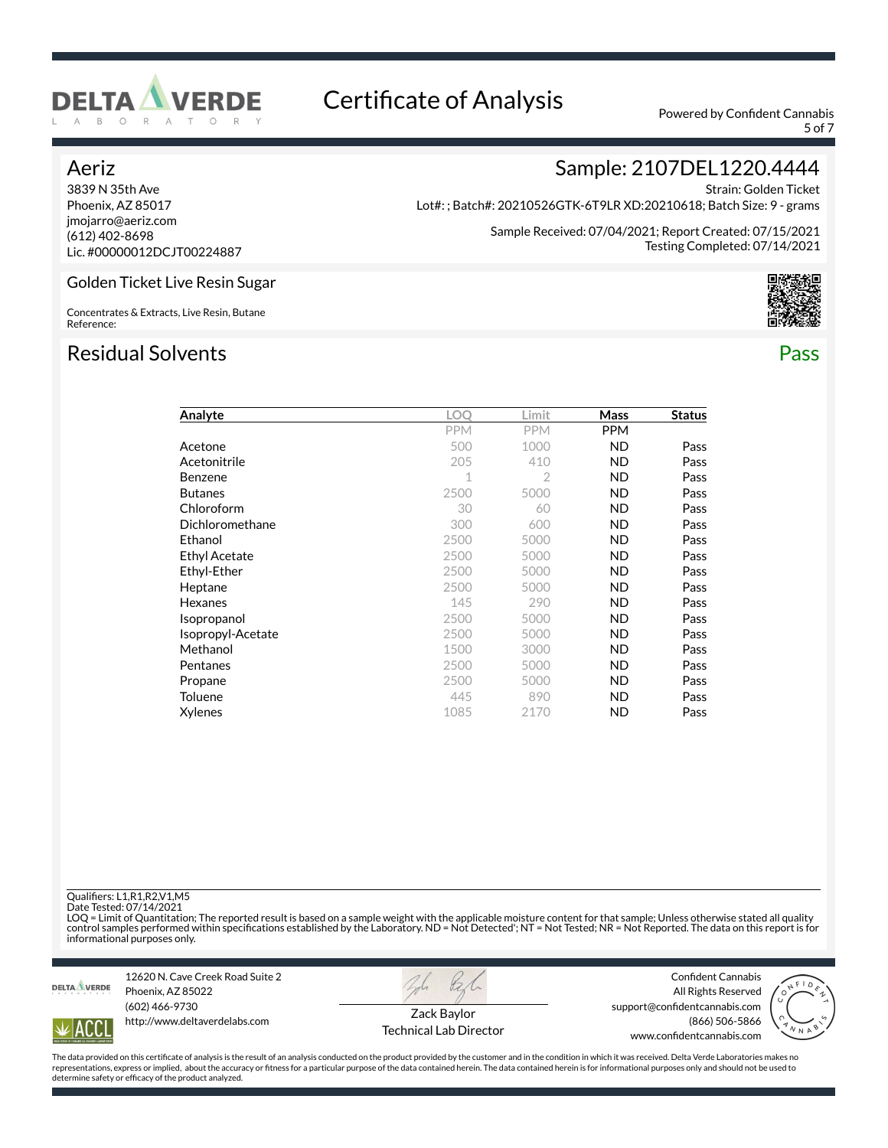

5 of 7

Strain: Golden Ticket

### Aeriz

Reference:

3839 N 35th Ave Phoenix, AZ 85017 jmojarro@aeriz.com (612) 402-8698 Lic. #00000012DCJT00224887

Golden Ticket Live Resin Sugar

Concentrates & Extracts, Live Resin, Butane

Lot#: ; Batch#: 20210526GTK-6T9LR XD:20210618; Batch Size: 9 - grams

Sample Received: 07/04/2021; Report Created: 07/15/2021 Testing Completed: 07/14/2021

Sample: 2107DEL1220.4444

### Residual Solvents Pass

| Analyte              | LOO        | Limit          | Mass       | <b>Status</b> |
|----------------------|------------|----------------|------------|---------------|
|                      | <b>PPM</b> | <b>PPM</b>     | <b>PPM</b> |               |
| Acetone              | 500        | 1000           | <b>ND</b>  | Pass          |
| Acetonitrile         | 205        | 410            | <b>ND</b>  | Pass          |
| Benzene              | 1          | $\overline{2}$ | <b>ND</b>  | Pass          |
| <b>Butanes</b>       | 2500       | 5000           | <b>ND</b>  | Pass          |
| Chloroform           | 30         | 60             | <b>ND</b>  | Pass          |
| Dichloromethane      | 300        | 600            | <b>ND</b>  | Pass          |
| Ethanol              | 2500       | 5000           | <b>ND</b>  | Pass          |
| <b>Ethyl Acetate</b> | 2500       | 5000           | <b>ND</b>  | Pass          |
| Ethyl-Ether          | 2500       | 5000           | <b>ND</b>  | Pass          |
| Heptane              | 2500       | 5000           | <b>ND</b>  | Pass          |
| Hexanes              | 145        | 290            | <b>ND</b>  | Pass          |
| Isopropanol          | 2500       | 5000           | <b>ND</b>  | Pass          |
| Isopropyl-Acetate    | 2500       | 5000           | <b>ND</b>  | Pass          |
| Methanol             | 1500       | 3000           | <b>ND</b>  | Pass          |
| Pentanes             | 2500       | 5000           | <b>ND</b>  | Pass          |
| Propane              | 2500       | 5000           | <b>ND</b>  | Pass          |
| Toluene              | 445        | 890            | <b>ND</b>  | Pass          |
| Xylenes              | 1085       | 2170           | ND         | Pass          |

Quali×ers: L1,R1,R2,V1,M5

Date Tested: 07/14/2021

LOQ = Limit of Quantitation; The reported result is based on a sample weight with the applicable moisture content for that sample; Unless otherwise stated all quality<br>control samples performed within specifications establi informational purposes only.



12620 N. Cave Creek Road Suite 2 Phoenix, AZ 85022 (602) 466-9730 http://www.deltaverdelabs.com



Confident Cannabis All Rights Reserved



ACC

Zack Baylor Technical Lab Director support@confidentcannabis.com (866) 506-5866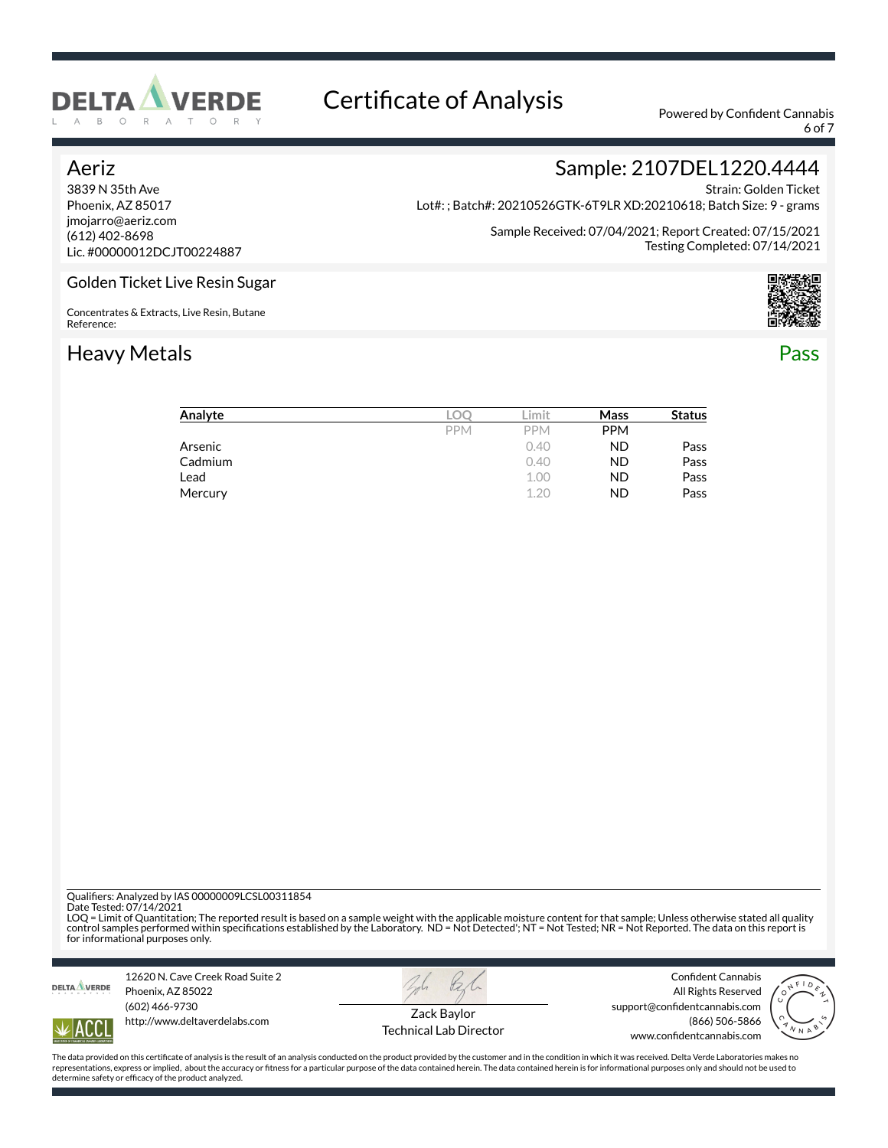

6 of 7

### Aeriz

3839 N 35th Ave Phoenix, AZ 85017 jmojarro@aeriz.com (612) 402-8698 Lic. #00000012DCJT00224887

Strain: Golden Ticket Lot#: ; Batch#: 20210526GTK-6T9LR XD:20210618; Batch Size: 9 - grams

> Sample Received: 07/04/2021; Report Created: 07/15/2021 Testing Completed: 07/14/2021

Sample: 2107DEL1220.4444

### Golden Ticket Live Resin Sugar

Concentrates & Extracts, Live Resin, Butane Reference:

## Heavy Metals **Pass**





| Analyte |            | .imit      | Mass       | <b>Status</b> |
|---------|------------|------------|------------|---------------|
|         | <b>PPM</b> | <b>PPM</b> | <b>PPM</b> |               |
| Arsenic |            | 0.40       | <b>ND</b>  | Pass          |
| Cadmium |            | 0.40       | <b>ND</b>  | Pass          |
| Lead    |            | 1.00       | <b>ND</b>  | Pass          |
| Mercury |            | 1.20       | <b>ND</b>  | Pass          |

Quali×ers: Analyzed by IAS 00000009LCSL00311854

Date Tested: 07/14/2021

LOQ = Limit of Quantitation; The reported result is based on a sample weight with the applicable moisture content for that sample; Unless otherwise stated all quality<br>control samples performed within specifications establi for informational purposes only.



12620 N. Cave Creek Road Suite 2 Phoenix, AZ 85022 (602) 466-9730 http://www.deltaverdelabs.com



Confident Cannabis All Rights Reserved support@confidentcannabis.com



ACC

Zack Baylor Technical Lab Director

(866) 506-5866 www.confidentcannabis.com